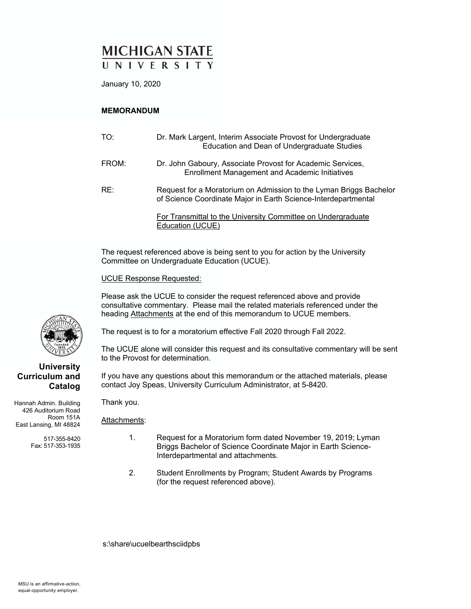### **MICHIGAN STATE** UNIVERSITY

January 10, 2020

#### **MEMORANDUM**

| TO:   | Dr. Mark Largent, Interim Associate Provost for Undergraduate<br>Education and Dean of Undergraduate Studies                         |
|-------|--------------------------------------------------------------------------------------------------------------------------------------|
| FROM: | Dr. John Gaboury, Associate Provost for Academic Services,<br><b>Enrollment Management and Academic Initiatives</b>                  |
| RE:   | Request for a Moratorium on Admission to the Lyman Briggs Bachelor<br>of Science Coordinate Major in Earth Science-Interdepartmental |
|       | For Transmittal to the University Committee on Undergraduate<br>Education (UCUE)                                                     |

The request referenced above is being sent to you for action by the University Committee on Undergraduate Education (UCUE).

UCUE Response Requested:

Please ask the UCUE to consider the request referenced above and provide consultative commentary. Please mail the related materials referenced under the heading Attachments at the end of this memorandum to UCUE members.

The request is to for a moratorium effective Fall 2020 through Fall 2022.

The UCUE alone will consider this request and its consultative commentary will be sent to the Provost for determination.

If you have any questions about this memorandum or the attached materials, please contact Joy Speas, University Curriculum Administrator, at 5-8420.

Hannah Admin. Building 426 Auditorium Road Room 151A East Lansing, MI 48824

> 517-355-8420 Fax: 517-353-1935

Thank you.

Attachments:

- 1. Request for a Moratorium form dated November 19, 2019; Lyman Briggs Bachelor of Science Coordinate Major in Earth Science-Interdepartmental and attachments.
	- 2. Student Enrollments by Program; Student Awards by Programs (for the request referenced above).

s:\share\ucuelbearthsciidpbs



**University Curriculum and** 

**Catalog**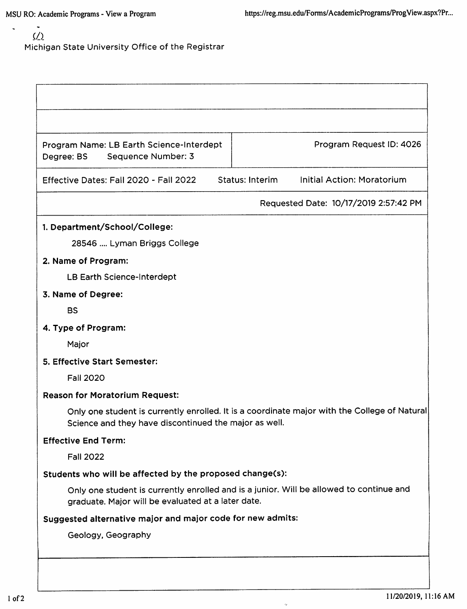## $\zeta/\zeta$ Michigan State University Office of the Registrar

| Program Name: LB Earth Science-Interdept<br>Sequence Number: 3<br>Degree: BS | Program Request ID: 4026                                                                     |
|------------------------------------------------------------------------------|----------------------------------------------------------------------------------------------|
| Effective Dates: Fall 2020 - Fall 2022                                       | Initial Action: Moratorium<br>Status: Interim                                                |
|                                                                              | Requested Date: 10/17/2019 2:57:42 PM                                                        |
| 1. Department/School/College:                                                |                                                                                              |
| 28546  Lyman Briggs College                                                  |                                                                                              |
| 2. Name of Program:                                                          |                                                                                              |
| LB Earth Science-Interdept                                                   |                                                                                              |
| 3. Name of Degree:                                                           |                                                                                              |
| <b>BS</b>                                                                    |                                                                                              |
| 4. Type of Program:                                                          |                                                                                              |
| Major                                                                        |                                                                                              |
| 5. Effective Start Semester:                                                 |                                                                                              |
| <b>Fall 2020</b>                                                             |                                                                                              |
| <b>Reason for Moratorium Request:</b>                                        |                                                                                              |
| Science and they have discontinued the major as well.                        | Only one student is currently enrolled. It is a coordinate major with the College of Natural |
| <b>Effective End Term:</b>                                                   |                                                                                              |
| <b>Fall 2022</b>                                                             |                                                                                              |
| Students who will be affected by the proposed change(s):                     |                                                                                              |
| graduate. Major will be evaluated at a later date.                           | Only one student is currently enrolled and is a junior. Will be allowed to continue and      |
| Suggested alternative major and major code for new admits:                   |                                                                                              |
| Geology, Geography                                                           |                                                                                              |

 $\ddot{\phi}$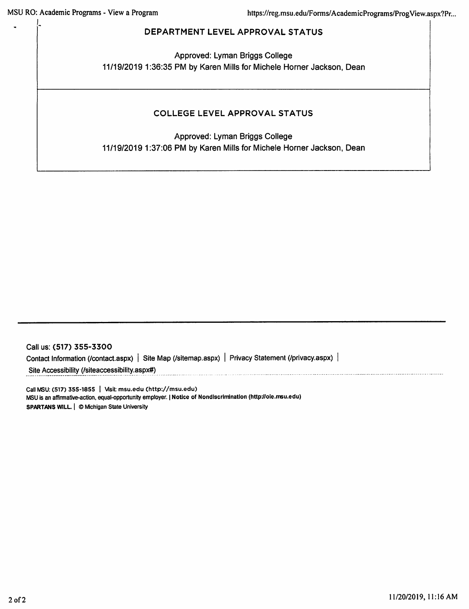#### DEPARTMENT LEVEL APPROVAL STATUS

Approved: Lyman Briggs College 11/19/2019 1:36:35 PM by Karen Mills for Michele Horner Jackson, Dean

### **COLLEGE LEVEL APPROVAL STATUS**

Approved: Lyman Briggs College 11/19/2019 1:37:06 PM by Karen Mills for Michele Horner Jackson, Dean

Call us: (517) 355-3300 Contact Information (/contact.aspx) | Site Map (/sitemap.aspx) | Privacy Statement (/privacy.aspx) | Site Accessibility (/siteaccessibility.aspx#)

Call MSU: (517) 355-1855 | Visit: msu.edu (http://msu.edu) MSU is an affirmative-action, equal-opportunity employer. | Notice of NondIscrimination (http://oie.msu.edu) SPARTANS WILL. | © Michigan State University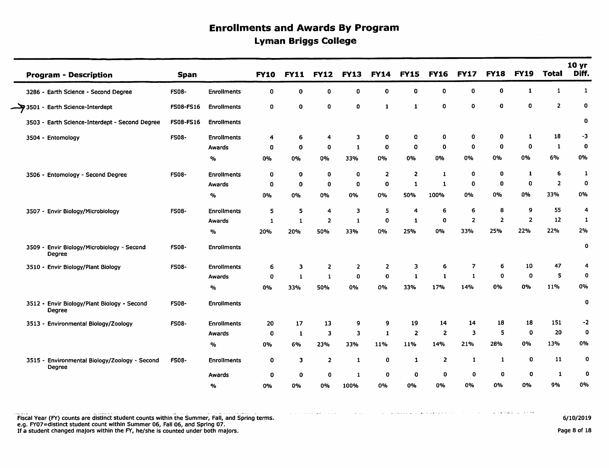# **Enrollments and Awards By Program Lyman Briggs College**

| <b>Program - Description</b>                                 | <b>Span</b>  |                    | <b>FY10</b>  | <b>FY11</b>  | <b>FY12</b>             | <b>FY13</b>    | <b>FY14</b>    | <b>FY15</b>    | <b>FY16</b>             | <b>FY17</b>    | <b>FY18</b>    | <b>FY19</b>    | <b>Total</b>   | 10 yr<br>Diff.   |
|--------------------------------------------------------------|--------------|--------------------|--------------|--------------|-------------------------|----------------|----------------|----------------|-------------------------|----------------|----------------|----------------|----------------|------------------|
| 3286 - Earth Science - Second Degree                         | <b>FS08-</b> | <b>Enrollments</b> | $\mathbf{0}$ | 0            | $\mathbf 0$             | 0              | 0              | 0              | 0                       | $\mathbf 0$    | $\mathbf 0$    | 1              | $\mathbf{1}$   | $\mathbf{1}$     |
| $\rightarrow$ 3501 - Earth Science-Interdept                 | FS08-FS16    | <b>Enrollments</b> | 0            | $\mathbf o$  | $\mathbf 0$             | $\mathbf 0$    | $\mathbf{1}$   | 1              | $\mathbf 0$             | $\mathbf{o}$   | $\bf{0}$       | 0              | $\overline{2}$ | 0                |
| 3503 - Earth Science-Interdept - Second Degree               | FS08-FS16    | <b>Enrollments</b> |              |              |                         |                |                |                |                         |                |                |                |                | 0                |
| 3504 - Entomology                                            | <b>FS08-</b> | <b>Enrollments</b> | 4            | 6            | 4                       | 3              | 0              | 0              | 0                       | 0              | 0              | 1              | 18             | -3               |
|                                                              |              | Awards             | $\mathbf 0$  | $\mathbf{o}$ | $\mathbf 0$             | $\mathbf{1}$   | $\mathbf 0$    | 0              | $\mathbf 0$             | $\mathbf 0$    | $\mathbf 0$    | 0              | $\mathbf{1}$   | 0                |
|                                                              |              | %                  | 0%           | 0%           | 0%                      | 33%            | 0%             | 0%             | 0%                      | 0%             | 0%             | 0%             | 6%             | 0%               |
| 3506 - Entomology - Second Degree                            | <b>FS08-</b> | <b>Enrollments</b> | 0            | 0            | $\mathbf 0$             | 0              | $\overline{2}$ | $\overline{2}$ | $\mathbf{1}$            | 0              | 0              | 1              | 6              | 1                |
|                                                              |              | Awards             | $\mathbf 0$  | 0            | $\mathbf 0$             | $\mathbf 0$    | $\mathbf 0$    | $\mathbf{1}$   | $\mathbf{1}$            | $\mathbf 0$    | $\mathbf 0$    | 0              | $\overline{2}$ | 0                |
|                                                              |              | $\%$               | 0%           | 0%           | 0%                      | 0%             | 0%             | 50%            | 100%                    | <b>0%</b>      | 0%             | 0%             | 33%            | 0%               |
| 3507 - Envir Biology/Microbiology                            | <b>FS08-</b> | <b>Enrollments</b> | 5            | 5            | 4                       | 3              | 5              | 4              | 6                       | 6              | 8              | 9              | 55             | 4                |
|                                                              |              | Awards             | $\mathbf{1}$ | $\mathbf{1}$ | $\overline{\mathbf{2}}$ | $\mathbf{1}$   | $\mathbf 0$    | 1              | $\mathbf 0$             | $\overline{z}$ | $\overline{2}$ | $\overline{2}$ | 12             | 1                |
|                                                              |              | $\%$               | 20%          | 20%          | 50%                     | 33%            | 0%             | 25%            | <b>0%</b>               | 33%            | 25%            | 22%            | 22%            | 2%               |
| 3509 - Envir Biology/Microbiology - Second<br>Degree         | <b>FS08-</b> | <b>Enrollments</b> |              |              |                         |                |                |                |                         |                |                |                |                | 0                |
| 3510 - Envir Biology/Plant Biology                           | <b>FS08-</b> | <b>Enrollments</b> | 6            | 3            | $\overline{2}$          | $\overline{2}$ | $\overline{2}$ | 3              | 6                       | $\overline{z}$ | 6              | 10             | 47             | 4                |
|                                                              |              | Awards             | 0            | $\mathbf{1}$ | $\mathbf{1}$            | 0              | $\mathbf 0$    | 1              | -1                      | $\mathbf{1}$   | $\mathbf 0$    | 0              | 5              | 0                |
|                                                              |              | %                  | 0%           | 33%          | 50%                     | 0%             | 0%             | 33%            | 17%                     | 14%            | 0%             | 0%             | 11%            | 0%               |
| 3512 - Envir Biology/Plant Biology - Second<br><b>Degree</b> | <b>FS08-</b> | <b>Enrollments</b> |              |              |                         |                |                |                |                         |                |                |                |                | 0                |
| 3513 - Environmental Biology/Zoology                         | <b>FS08-</b> | <b>Enrollments</b> | 20           | 17           | 13                      | 9              | 9              | 19             | 14                      | 14             | 18             | 18             | 151            | -2               |
|                                                              |              | Awards             | $\bf{0}$     | $\mathbf{1}$ | 3                       | 3              | $\mathbf{1}$   | $\mathbf{2}$   | $\overline{\mathbf{2}}$ | 3              | 5              | $\mathbf 0$    | 20             | 0                |
|                                                              |              | $\%$               | 0%           | 6%           | 23%                     | 33%            | 11%            | 11%            | 14%                     | 21%            | 28%            | 0%             | 13%            | 0%               |
| 3515 - Environmental Biology/Zoology - Second<br>Degree      | <b>FS08-</b> | <b>Enrollments</b> | 0            | 3            | 2                       | $\mathbf{1}$   | 0              | $\mathbf{1}$   | $\overline{\mathbf{2}}$ | $\mathbf{1}$   | $\mathbf{1}$   | 0              | 11             | $\mathbf 0$      |
|                                                              |              | Awards             | 0            | 0            | 0                       | $\mathbf{1}$   | $\mathbf 0$    | 0              | 0                       | 0              | 0              | $\mathbf 0$    | 1              | $\boldsymbol{0}$ |
|                                                              |              | $\%$               | 0%           | 0%           | 0%                      | 100%           | 0%             | 0%             | 0%                      | 0%             | 0%             | 0%             | 9%             | 0%               |

6/10/2019

Page 8 of 18

and another process of